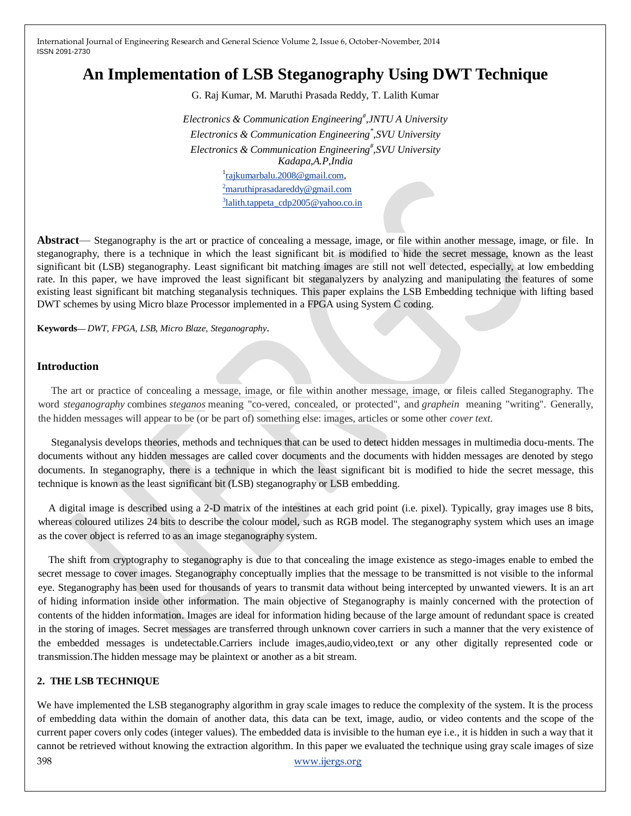# **An Implementation of LSB Steganography Using DWT Technique**

G. Raj Kumar, M. Maruthi Prasada Reddy, T. Lalith Kumar

*Electronics & Communication Engineering# ,JNTU A University Electronics & Communication Engineering\* ,SVU University Electronics & Communication Engineering# ,SVU University Kadapa,A.P,India* <sup>1</sup>rajkumarbalu. 2008@gmail.com,  $2^{\circ}$ [maruthiprasadareddy@gmail.com](mailto:2maruthiprasadareddy@gmail.com)  $3$ [lalith.tappeta\\_cdp2005@yahoo.co.in](mailto:3lalith.tappeta_cdp2005@yahoo.co.in)

**Abstract**— Steganography is the art or practice of concealing a message, image, or file within another message, image, or file. In steganography, there is a technique in which the least significant bit is modified to hide the secret message, known as the least significant bit (LSB) steganography. Least significant bit matching images are still not well detected, especially, at low embedding rate. In this paper, we have improved the least significant bit steganalyzers by analyzing and manipulating the features of some existing least significant bit matching steganalysis techniques. This paper explains the LSB Embedding technique with lifting based DWT schemes by using Micro blaze Processor implemented in a FPGA using System C coding.

**Keywords—** *DWT, FPGA, LSB, Micro Blaze, Steganography*.

#### **Introduction**

The art or practice of concealing a message, image, or file within another message, image, or fileis called Steganography. The word *steganography* combines *steganos* meaning "co-vered, concealed, or protected", and *graphein* meaning "writing". Generally, the hidden messages will appear to be (or be part of) something else: images, articles or some other *cover text*.

Steganalysis develops theories, methods and techniques that can be used to detect hidden messages in multimedia docu-ments. The documents without any hidden messages are called cover documents and the documents with hidden messages are denoted by stego documents. In steganography, there is a technique in which the least significant bit is modified to hide the secret message, this technique is known as the least significant bit (LSB) steganography or LSB embedding.

A digital image is described using a 2-D matrix of the intestines at each grid point (i.e. pixel). Typically, gray images use 8 bits, whereas coloured utilizes 24 bits to describe the colour model, such as RGB model. The steganography system which uses an image as the cover object is referred to as an image steganography system.

The shift from cryptography to steganography is due to that concealing the image existence as stego-images enable to embed the secret message to cover images. Steganography conceptually implies that the message to be transmitted is not visible to the informal eye. Steganography has been used for thousands of years to transmit data without being intercepted by unwanted viewers. It is an art of hiding information inside other information. The main objective of Steganography is mainly concerned with the protection of contents of the hidden information. Images are ideal for information hiding because of the large amount of redundant space is created in the storing of images. Secret messages are transferred through unknown cover carriers in such a manner that the very existence of the embedded messages is undetectable.Carriers include images,audio,video,text or any other digitally represented code or transmission.The hidden message may be plaintext or another as a bit stream.

#### **2. THE LSB TECHNIQUE**

398 [www.ijergs.org](http://www.ijergs.org/) We have implemented the LSB steganography algorithm in gray scale images to reduce the complexity of the system. It is the process of embedding data within the domain of another data, this data can be text, image, audio, or video contents and the scope of the current paper covers only codes (integer values). The embedded data is invisible to the human eye i.e., it is hidden in such a way that it cannot be retrieved without knowing the extraction algorithm. In this paper we evaluated the technique using gray scale images of size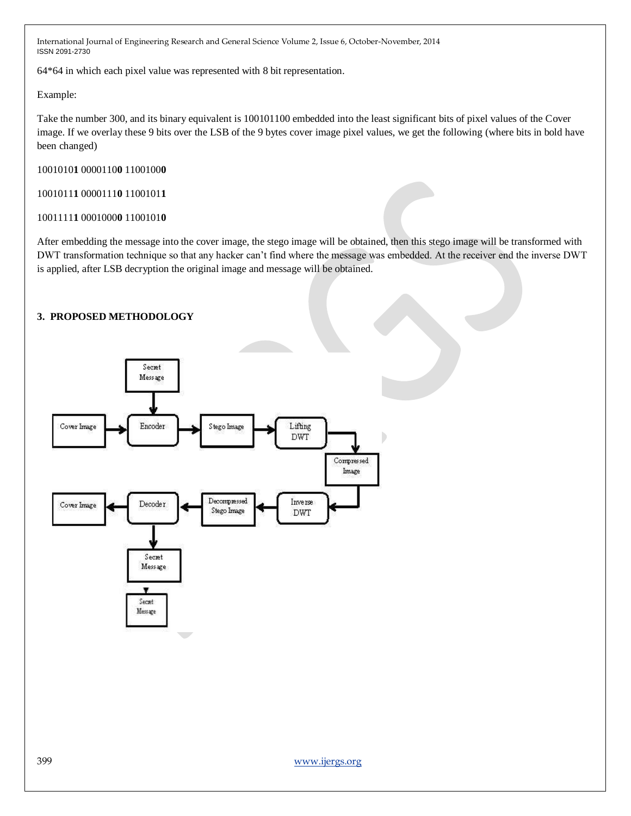64\*64 in which each pixel value was represented with 8 bit representation.

Example:

Take the number 300, and its binary equivalent is 100101100 embedded into the least significant bits of pixel values of the Cover image. If we overlay these 9 bits over the LSB of the 9 bytes cover image pixel values, we get the following (where bits in bold have been changed)

1001010**1** 0000110**0** 1100100**0**

1001011**1** 0000111**0** 1100101**1**

#### 1001111**1** 0001000**0** 1100101**0**

After embedding the message into the cover image, the stego image will be obtained, then this stego image will be transformed with DWT transformation technique so that any hacker can't find where the message was embedded. At the receiver end the inverse DWT is applied, after LSB decryption the original image and message will be obtained.

### **3. PROPOSED METHODOLOGY**

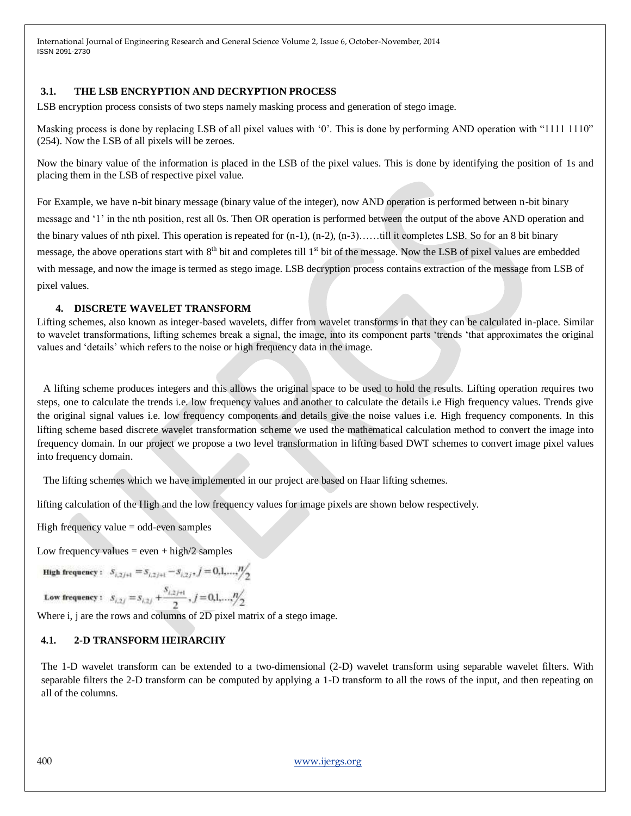#### **3.1. THE LSB ENCRYPTION AND DECRYPTION PROCESS**

LSB encryption process consists of two steps namely masking process and generation of stego image.

Masking process is done by replacing LSB of all pixel values with '0'. This is done by performing AND operation with "1111 1110" (254). Now the LSB of all pixels will be zeroes.

Now the binary value of the information is placed in the LSB of the pixel values. This is done by identifying the position of 1s and placing them in the LSB of respective pixel value.

For Example, we have n-bit binary message (binary value of the integer), now AND operation is performed between n-bit binary message and ‗1' in the nth position, rest all 0s. Then OR operation is performed between the output of the above AND operation and the binary values of nth pixel. This operation is repeated for  $(n-1)$ ,  $(n-2)$ ,  $(n-3)$ ……till it completes LSB. So for an 8 bit binary message, the above operations start with  $8<sup>th</sup>$  bit and completes till  $1<sup>st</sup>$  bit of the message. Now the LSB of pixel values are embedded with message, and now the image is termed as stego image. LSB decryption process contains extraction of the message from LSB of pixel values.

#### **4. DISCRETE WAVELET TRANSFORM**

Lifting schemes, also known as integer-based wavelets, differ from wavelet transforms in that they can be calculated in-place. Similar to wavelet transformations, lifting schemes break a signal, the image, into its component parts ‗trends ‗that approximates the original values and ‗details' which refers to the noise or high frequency data in the image.

A lifting scheme produces integers and this allows the original space to be used to hold the results. Lifting operation requires two steps, one to calculate the trends i.e. low frequency values and another to calculate the details i.e High frequency values. Trends give the original signal values i.e. low frequency components and details give the noise values i.e. High frequency components. In this lifting scheme based discrete wavelet transformation scheme we used the mathematical calculation method to convert the image into frequency domain. In our project we propose a two level transformation in lifting based DWT schemes to convert image pixel values into frequency domain.

The lifting schemes which we have implemented in our project are based on Haar lifting schemes.

lifting calculation of the High and the low frequency values for image pixels are shown below respectively.

High frequency value = odd-even samples

Low frequency values  $=$  even  $+$  high/2 samples

**High frequency**:  $S_{i,2j+1} = S_{i,2j+1} - S_{i,2j}$ ,  $j = 0,1,...,n/2$ 

Low frequency:  $S_{i,2j} = S_{i,2j} + \frac{S_{i,2j+1}}{2}, j = 0,1,...,n/2$ 

Where i, j are the rows and columns of 2D pixel matrix of a stego image.

### **4.1. 2-D TRANSFORM HEIRARCHY**

The 1-D wavelet transform can be extended to a two-dimensional (2-D) wavelet transform using separable wavelet filters. With separable filters the 2-D transform can be computed by applying a 1-D transform to all the rows of the input, and then repeating on all of the columns.

400 [www.ijergs.org](http://www.ijergs.org/)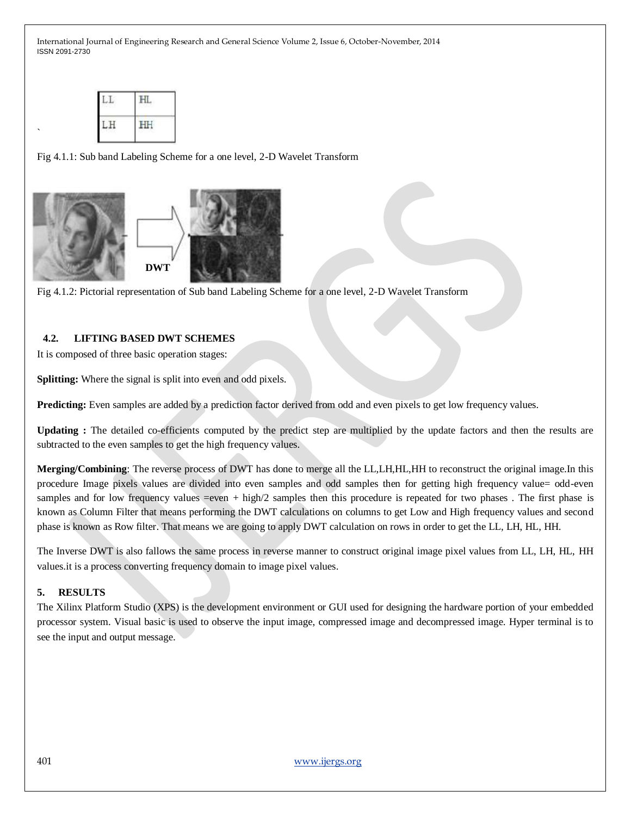| 15253       | ı<br>ana Pr |
|-------------|-------------|
| œ<br>×<br>v | Ŧ.<br>w     |

`

Fig 4.1.1: Sub band Labeling Scheme for a one level, 2-D Wavelet Transform





#### **4.2. LIFTING BASED DWT SCHEMES**

It is composed of three basic operation stages:

**Splitting:** Where the signal is split into even and odd pixels.

**Predicting:** Even samples are added by a prediction factor derived from odd and even pixels to get low frequency values.

**Updating :** The detailed co-efficients computed by the predict step are multiplied by the update factors and then the results are subtracted to the even samples to get the high frequency values.

**Merging/Combining**: The reverse process of DWT has done to merge all the LL,LH,HL,HH to reconstruct the original image.In this procedure Image pixels values are divided into even samples and odd samples then for getting high frequency value= odd-even samples and for low frequency values =even + high/2 samples then this procedure is repeated for two phases. The first phase is known as Column Filter that means performing the DWT calculations on columns to get Low and High frequency values and second phase is known as Row filter. That means we are going to apply DWT calculation on rows in order to get the LL, LH, HL, HH.

The Inverse DWT is also fallows the same process in reverse manner to construct original image pixel values from LL, LH, HL, HH values.it is a process converting frequency domain to image pixel values.

### **5. RESULTS**

The Xilinx Platform Studio (XPS) is the development environment or GUI used for designing the hardware portion of your embedded processor system. Visual basic is used to observe the input image, compressed image and decompressed image. Hyper terminal is to see the input and output message.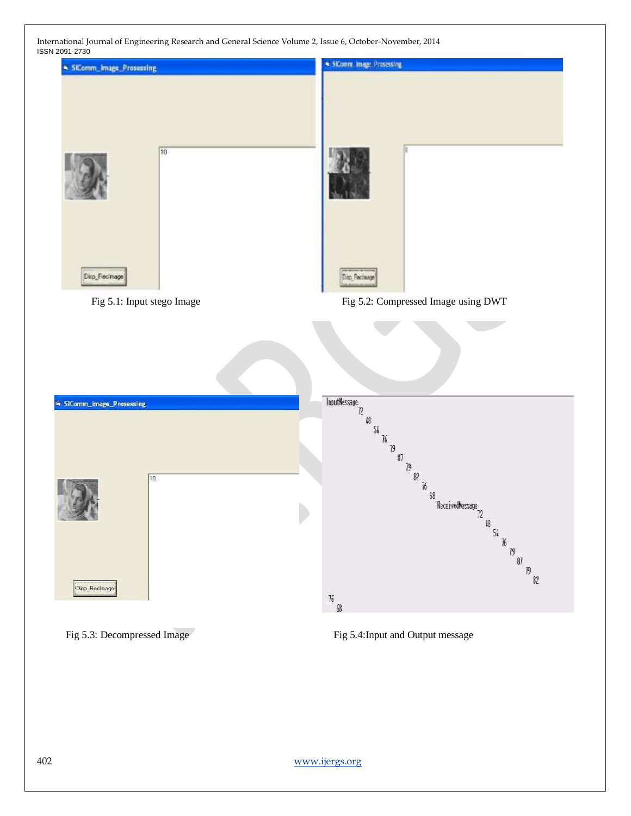

Fig 5.3: Decompressed Image Fig 5.4:Input and Output message